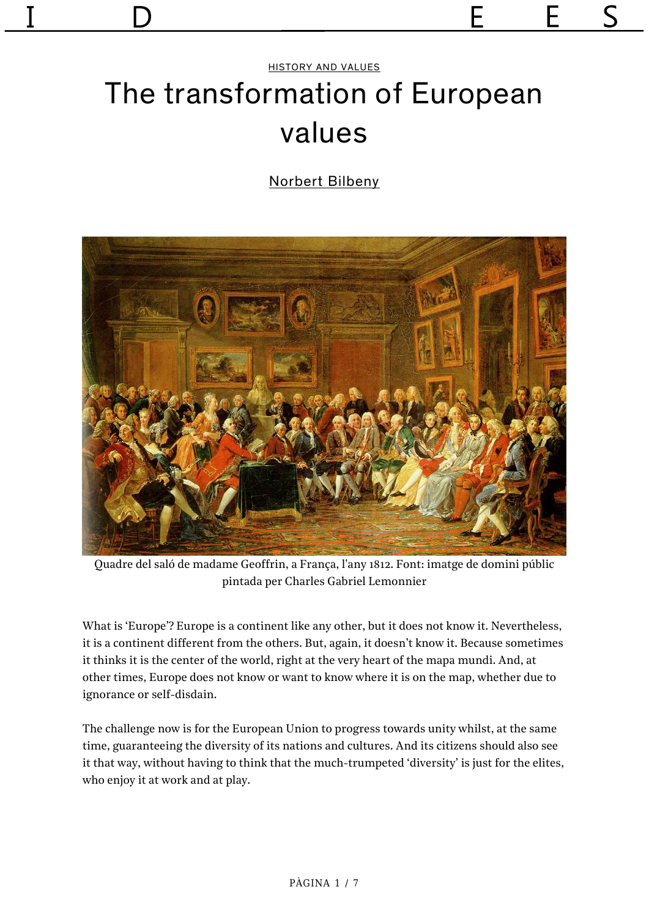# [HISTORY AND VALUES](https://revistaidees.cat/seccio/historia-i-valors-en/) The transformation of European values

[Norbert Bilbeny](https://revistaidees.cat/autors/norbert-bilbeny/)



Quadre del saló de madame Geoffrin, a França, l'any 1812. Font: imatge de domini públic pintada per Charles Gabriel Lemonnier

What is 'Europe'? Europe is a continent like any other, but it does not know it. Nevertheless, it is a continent different from the others. But, again, it doesn't know it. Because sometimes it thinks it is the center of the world, right at the very heart of the mapa mundi. And, at other times, Europe does not know or want to know where it is on the map, whether due to ignorance or self-disdain.

The challenge now is for the European Union to progress towards unity whilst, at the same time, guaranteeing the diversity of its nations and cultures. And its citizens should also see it that way, without having to think that the much-trumpeted 'diversity' is just for the elites, who enjoy it at work and at play.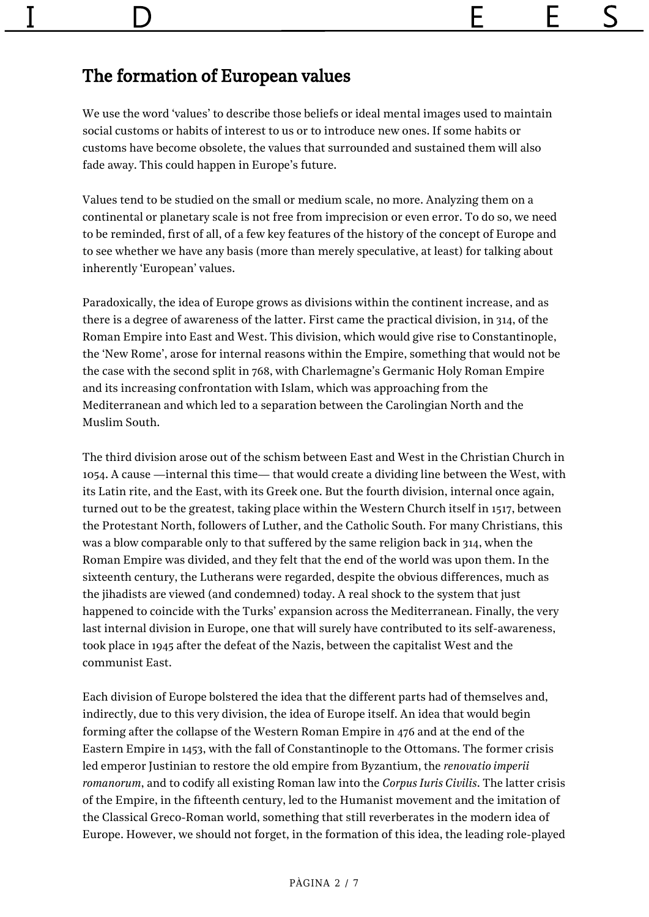## The formation of European values

We use the word 'values' to describe those beliefs or ideal mental images used to maintain social customs or habits of interest to us or to introduce new ones. If some habits or customs have become obsolete, the values that surrounded and sustained them will also fade away. This could happen in Europe's future.

Values tend to be studied on the small or medium scale, no more. Analyzing them on a continental or planetary scale is not free from imprecision or even error. To do so, we need to be reminded, first of all, of a few key features of the history of the concept of Europe and to see whether we have any basis (more than merely speculative, at least) for talking about inherently 'European' values.

Paradoxically, the idea of Europe grows as divisions within the continent increase, and as there is a degree of awareness of the latter. First came the practical division, in 314, of the Roman Empire into East and West. This division, which would give rise to Constantinople, the 'New Rome', arose for internal reasons within the Empire, something that would not be the case with the second split in 768, with Charlemagne's Germanic Holy Roman Empire and its increasing confrontation with Islam, which was approaching from the Mediterranean and which led to a separation between the Carolingian North and the Muslim South.

The third division arose out of the schism between East and West in the Christian Church in 1054. A cause —internal this time— that would create a dividing line between the West, with its Latin rite, and the East, with its Greek one. But the fourth division, internal once again, turned out to be the greatest, taking place within the Western Church itself in 1517, between the Protestant North, followers of Luther, and the Catholic South. For many Christians, this was a blow comparable only to that suffered by the same religion back in 314, when the Roman Empire was divided, and they felt that the end of the world was upon them. In the sixteenth century, the Lutherans were regarded, despite the obvious differences, much as the jihadists are viewed (and condemned) today. A real shock to the system that just happened to coincide with the Turks' expansion across the Mediterranean. Finally, the very last internal division in Europe, one that will surely have contributed to its self-awareness, took place in 1945 after the defeat of the Nazis, between the capitalist West and the communist East.

Each division of Europe bolstered the idea that the different parts had of themselves and, indirectly, due to this very division, the idea of Europe itself. An idea that would begin forming after the collapse of the Western Roman Empire in 476 and at the end of the Eastern Empire in 1453, with the fall of Constantinople to the Ottomans. The former crisis led emperor Justinian to restore the old empire from Byzantium, the *renovatio imperii romanorum*, and to codify all existing Roman law into the *Corpus Iuris Civilis*. The latter crisis of the Empire, in the fifteenth century, led to the Humanist movement and the imitation of the Classical Greco-Roman world, something that still reverberates in the modern idea of Europe. However, we should not forget, in the formation of this idea, the leading role-played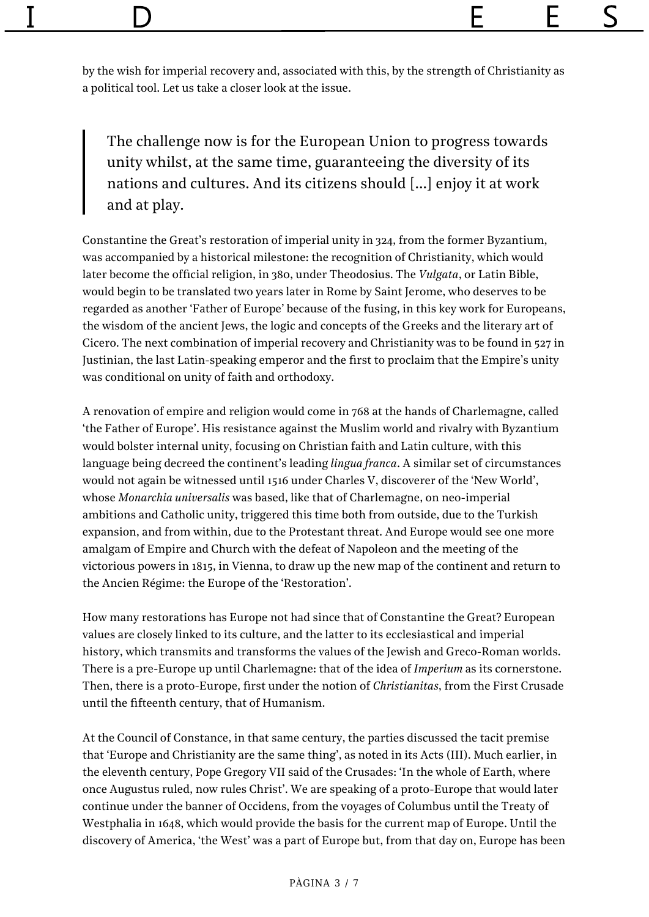by the wish for imperial recovery and, associated with this, by the strength of Christianity as a political tool. Let us take a closer look at the issue.

The challenge now is for the European Union to progress towards unity whilst, at the same time, guaranteeing the diversity of its nations and cultures. And its citizens should […] enjoy it at work and at play.

Constantine the Great's restoration of imperial unity in 324, from the former Byzantium, was accompanied by a historical milestone: the recognition of Christianity, which would later become the official religion, in 380, under Theodosius. The *Vulgata*, or Latin Bible, would begin to be translated two years later in Rome by Saint Jerome, who deserves to be regarded as another 'Father of Europe' because of the fusing, in this key work for Europeans, the wisdom of the ancient Jews, the logic and concepts of the Greeks and the literary art of Cicero. The next combination of imperial recovery and Christianity was to be found in 527 in Justinian, the last Latin-speaking emperor and the first to proclaim that the Empire's unity was conditional on unity of faith and orthodoxy.

A renovation of empire and religion would come in 768 at the hands of Charlemagne, called 'the Father of Europe'. His resistance against the Muslim world and rivalry with Byzantium would bolster internal unity, focusing on Christian faith and Latin culture, with this language being decreed the continent's leading *lingua franca*. A similar set of circumstances would not again be witnessed until 1516 under Charles V, discoverer of the 'New World', whose *Monarchia universalis* was based, like that of Charlemagne, on neo-imperial ambitions and Catholic unity, triggered this time both from outside, due to the Turkish expansion, and from within, due to the Protestant threat. And Europe would see one more amalgam of Empire and Church with the defeat of Napoleon and the meeting of the victorious powers in 1815, in Vienna, to draw up the new map of the continent and return to the Ancien Régime: the Europe of the 'Restoration'.

How many restorations has Europe not had since that of Constantine the Great? European values are closely linked to its culture, and the latter to its ecclesiastical and imperial history, which transmits and transforms the values of the Jewish and Greco-Roman worlds. There is a pre-Europe up until Charlemagne: that of the idea of *Imperium* as its cornerstone. Then, there is a proto-Europe, first under the notion of *Christianitas*, from the First Crusade until the fifteenth century, that of Humanism.

At the Council of Constance, in that same century, the parties discussed the tacit premise that 'Europe and Christianity are the same thing', as noted in its Acts (III). Much earlier, in the eleventh century, Pope Gregory VII said of the Crusades: 'In the whole of Earth, where once Augustus ruled, now rules Christ'. We are speaking of a proto-Europe that would later continue under the banner of Occidens, from the voyages of Columbus until the Treaty of Westphalia in 1648, which would provide the basis for the current map of Europe. Until the discovery of America, 'the West' was a part of Europe but, from that day on, Europe has been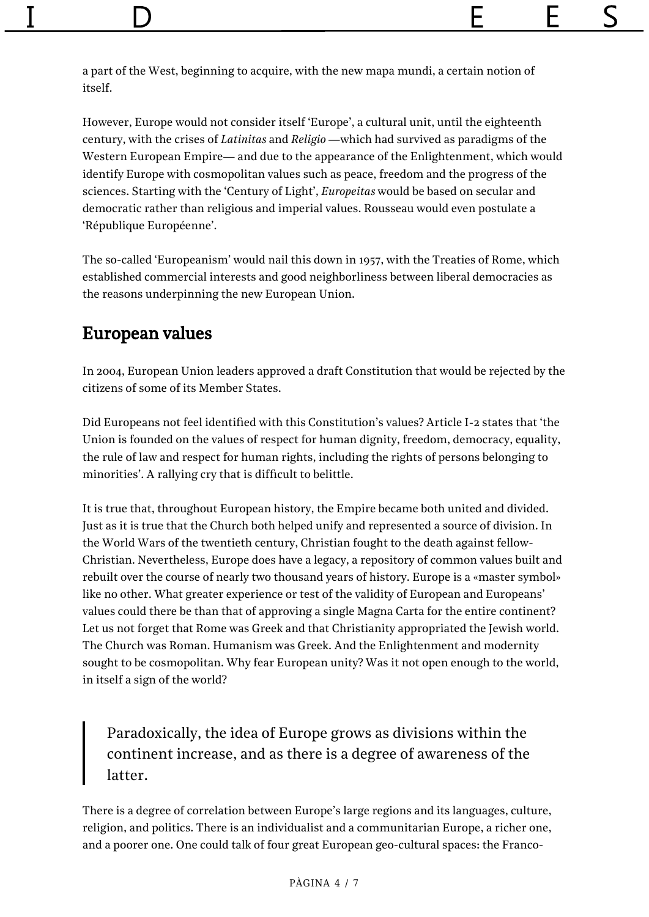a part of the West, beginning to acquire, with the new mapa mundi, a certain notion of itself.

However, Europe would not consider itself 'Europe', a cultural unit, until the eighteenth century, with the crises of *Latinitas* and *Religio* —which had survived as paradigms of the Western European Empire— and due to the appearance of the Enlightenment, which would identify Europe with cosmopolitan values such as peace, freedom and the progress of the sciences. Starting with the 'Century of Light', *Europeitas* would be based on secular and democratic rather than religious and imperial values. Rousseau would even postulate a 'République Européenne'.

The so-called 'Europeanism' would nail this down in 1957, with the Treaties of Rome, which established commercial interests and good neighborliness between liberal democracies as the reasons underpinning the new European Union.

#### European values

In 2004, European Union leaders approved a draft Constitution that would be rejected by the citizens of some of its Member States.

Did Europeans not feel identified with this Constitution's values? Article I-2 states that 'the Union is founded on the values of respect for human dignity, freedom, democracy, equality, the rule of law and respect for human rights, including the rights of persons belonging to minorities'. A rallying cry that is difficult to belittle.

It is true that, throughout European history, the Empire became both united and divided. Just as it is true that the Church both helped unify and represented a source of division. In the World Wars of the twentieth century, Christian fought to the death against fellow-Christian. Nevertheless, Europe does have a legacy, a repository of common values built and rebuilt over the course of nearly two thousand years of history. Europe is a «master symbol» like no other. What greater experience or test of the validity of European and Europeans' values could there be than that of approving a single Magna Carta for the entire continent? Let us not forget that Rome was Greek and that Christianity appropriated the Jewish world. The Church was Roman. Humanism was Greek. And the Enlightenment and modernity sought to be cosmopolitan. Why fear European unity? Was it not open enough to the world, in itself a sign of the world?

Paradoxically, the idea of Europe grows as divisions within the continent increase, and as there is a degree of awareness of the latter.

There is a degree of correlation between Europe's large regions and its languages, culture, religion, and politics. There is an individualist and a communitarian Europe, a richer one, and a poorer one. One could talk of four great European geo-cultural spaces: the Franco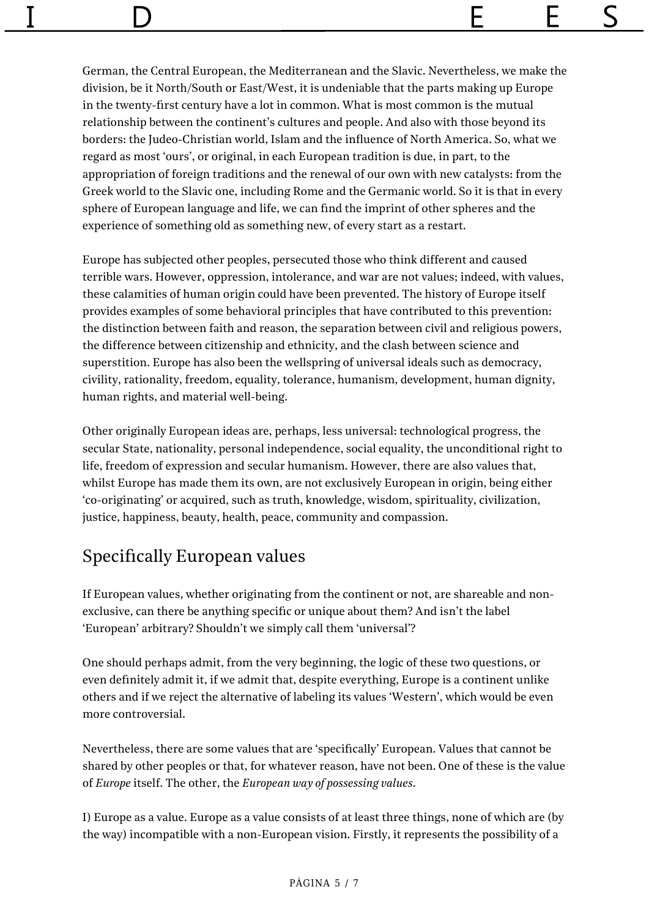German, the Central European, the Mediterranean and the Slavic. Nevertheless, we make the division, be it North/South or East/West, it is undeniable that the parts making up Europe in the twenty-first century have a lot in common. What is most common is the mutual relationship between the continent's cultures and people. And also with those beyond its borders: the Judeo-Christian world, Islam and the influence of North America. So, what we regard as most 'ours', or original, in each European tradition is due, in part, to the appropriation of foreign traditions and the renewal of our own with new catalysts: from the Greek world to the Slavic one, including Rome and the Germanic world. So it is that in every sphere of European language and life, we can find the imprint of other spheres and the experience of something old as something new, of every start as a restart.

Europe has subjected other peoples, persecuted those who think different and caused terrible wars. However, oppression, intolerance, and war are not values; indeed, with values, these calamities of human origin could have been prevented. The history of Europe itself provides examples of some behavioral principles that have contributed to this prevention: the distinction between faith and reason, the separation between civil and religious powers, the difference between citizenship and ethnicity, and the clash between science and superstition. Europe has also been the wellspring of universal ideals such as democracy, civility, rationality, freedom, equality, tolerance, humanism, development, human dignity, human rights, and material well-being.

Other originally European ideas are, perhaps, less universal: technological progress, the secular State, nationality, personal independence, social equality, the unconditional right to life, freedom of expression and secular humanism. However, there are also values that, whilst Europe has made them its own, are not exclusively European in origin, being either 'co-originating' or acquired, such as truth, knowledge, wisdom, spirituality, civilization, justice, happiness, beauty, health, peace, community and compassion.

### Specifically European values

If European values, whether originating from the continent or not, are shareable and nonexclusive, can there be anything specific or unique about them? And isn't the label 'European' arbitrary? Shouldn't we simply call them 'universal'?

One should perhaps admit, from the very beginning, the logic of these two questions, or even definitely admit it, if we admit that, despite everything, Europe is a continent unlike others and if we reject the alternative of labeling its values 'Western', which would be even more controversial.

Nevertheless, there are some values that are 'specifically' European. Values that cannot be shared by other peoples or that, for whatever reason, have not been. One of these is the value of *Europe* itself. The other, the *European way of possessing values*.

I) Europe as a value. Europe as a value consists of at least three things, none of which are (by the way) incompatible with a non-European vision. Firstly, it represents the possibility of a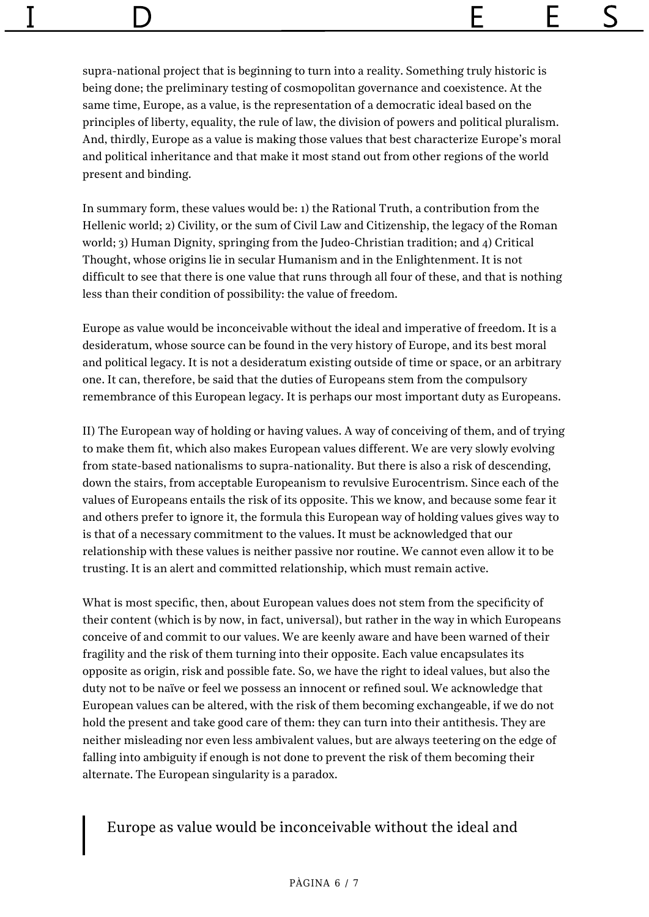supra-national project that is beginning to turn into a reality. Something truly historic is being done; the preliminary testing of cosmopolitan governance and coexistence. At the same time, Europe, as a value, is the representation of a democratic ideal based on the principles of liberty, equality, the rule of law, the division of powers and political pluralism. And, thirdly, Europe as a value is making those values that best characterize Europe's moral and political inheritance and that make it most stand out from other regions of the world present and binding.

In summary form, these values would be: 1) the Rational Truth, a contribution from the Hellenic world; 2) Civility, or the sum of Civil Law and Citizenship, the legacy of the Roman world; 3) Human Dignity, springing from the Judeo-Christian tradition; and 4) Critical Thought, whose origins lie in secular Humanism and in the Enlightenment. It is not difficult to see that there is one value that runs through all four of these, and that is nothing less than their condition of possibility: the value of freedom.

Europe as value would be inconceivable without the ideal and imperative of freedom. It is a desideratum, whose source can be found in the very history of Europe, and its best moral and political legacy. It is not a desideratum existing outside of time or space, or an arbitrary one. It can, therefore, be said that the duties of Europeans stem from the compulsory remembrance of this European legacy. It is perhaps our most important duty as Europeans.

II) The European way of holding or having values. A way of conceiving of them, and of trying to make them fit, which also makes European values different. We are very slowly evolving from state-based nationalisms to supra-nationality. But there is also a risk of descending, down the stairs, from acceptable Europeanism to revulsive Eurocentrism. Since each of the values of Europeans entails the risk of its opposite. This we know, and because some fear it and others prefer to ignore it, the formula this European way of holding values gives way to is that of a necessary commitment to the values. It must be acknowledged that our relationship with these values is neither passive nor routine. We cannot even allow it to be trusting. It is an alert and committed relationship, which must remain active.

What is most specific, then, about European values does not stem from the specificity of their content (which is by now, in fact, universal), but rather in the way in which Europeans conceive of and commit to our values. We are keenly aware and have been warned of their fragility and the risk of them turning into their opposite. Each value encapsulates its opposite as origin, risk and possible fate. So, we have the right to ideal values, but also the duty not to be naïve or feel we possess an innocent or refined soul. We acknowledge that European values can be altered, with the risk of them becoming exchangeable, if we do not hold the present and take good care of them: they can turn into their antithesis. They are neither misleading nor even less ambivalent values, but are always teetering on the edge of falling into ambiguity if enough is not done to prevent the risk of them becoming their alternate. The European singularity is a paradox.

#### Europe as value would be inconceivable without the ideal and